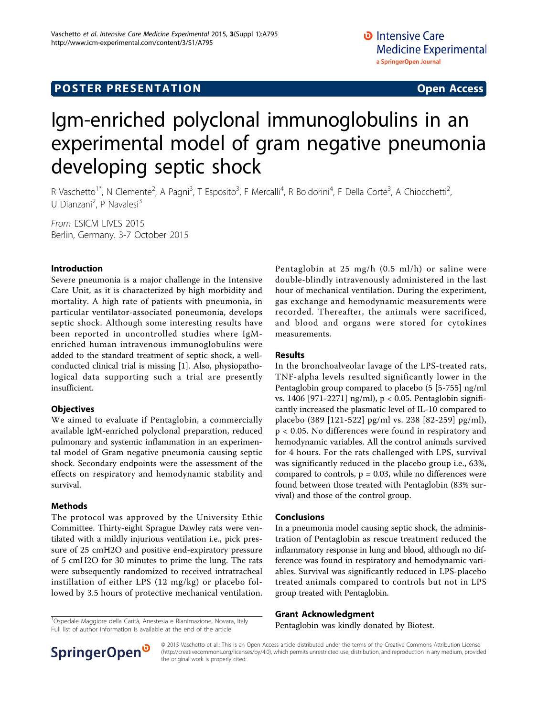# Igm-enriched polyclonal immunoglobulins in an experimental model of gram negative pneumonia developing septic shock

R Vaschetto<sup>1\*</sup>, N Clemente<sup>2</sup>, A Pagni<sup>3</sup>, T Esposito<sup>3</sup>, F Mercalli<sup>4</sup>, R Boldorini<sup>4</sup>, F Della Corte<sup>3</sup>, A Chiocchetti<sup>2</sup> , U Dianzani<sup>2</sup>, P Navalesi<sup>3</sup>

From ESICM LIVES 2015 Berlin, Germany. 3-7 October 2015

### Introduction

Severe pneumonia is a major challenge in the Intensive Care Unit, as it is characterized by high morbidity and mortality. A high rate of patients with pneumonia, in particular ventilator-associated poneumonia, develops septic shock. Although some interesting results have been reported in uncontrolled studies where IgMenriched human intravenous immunoglobulins were added to the standard treatment of septic shock, a wellconducted clinical trial is missing [[1](#page-1-0)]. Also, physiopathological data supporting such a trial are presently insufficient.

### **Objectives**

We aimed to evaluate if Pentaglobin, a commercially available IgM-enriched polyclonal preparation, reduced pulmonary and systemic inflammation in an experimental model of Gram negative pneumonia causing septic shock. Secondary endpoints were the assessment of the effects on respiratory and hemodynamic stability and survival.

# Methods

The protocol was approved by the University Ethic Committee. Thirty-eight Sprague Dawley rats were ventilated with a mildly injurious ventilation i.e., pick pressure of 25 cmH2O and positive end-expiratory pressure of 5 cmH2O for 30 minutes to prime the lung. The rats were subsequently randomized to received intratracheal instillation of either LPS (12 mg/kg) or placebo followed by 3.5 hours of protective mechanical ventilation.

<sup>1</sup>Ospedale Maggiore della Carità, Anestesia e Rianimazione, Novara, Italy<br>Full list of author information is available at the end of the article<br>1994 **Pentaglobin was kindly donated by Biotest.** Full list of author information is available at the end of the article

Pentaglobin at 25 mg/h (0.5 ml/h) or saline were double-blindly intravenously administered in the last hour of mechanical ventilation. During the experiment, gas exchange and hemodynamic measurements were recorded. Thereafter, the animals were sacrificed, and blood and organs were stored for cytokines measurements.

#### Results

In the bronchoalveolar lavage of the LPS-treated rats, TNF-alpha levels resulted significantly lower in the Pentaglobin group compared to placebo (5 [5-755] ng/ml vs. 1406 [971-2271] ng/ml), p < 0.05. Pentaglobin significantly increased the plasmatic level of IL-10 compared to placebo (389 [121-522] pg/ml vs. 238 [82-259] pg/ml), p < 0.05. No differences were found in respiratory and hemodynamic variables. All the control animals survived for 4 hours. For the rats challenged with LPS, survival was significantly reduced in the placebo group i.e., 63%, compared to controls,  $p = 0.03$ , while no differences were found between those treated with Pentaglobin (83% survival) and those of the control group.

# Conclusions

In a pneumonia model causing septic shock, the administration of Pentaglobin as rescue treatment reduced the inflammatory response in lung and blood, although no difference was found in respiratory and hemodynamic variables. Survival was significantly reduced in LPS-placebo treated animals compared to controls but not in LPS group treated with Pentaglobin.

#### Grant Acknowledgment



© 2015 Vaschetto et al.; This is an Open Access article distributed under the terms of the Creative Commons Attribution License [\(http://creativecommons.org/licenses/by/4.0](http://creativecommons.org/licenses/by/4.0)), which permits unrestricted use, distribution, and reproduction in any medium, provided the original work is properly cited.